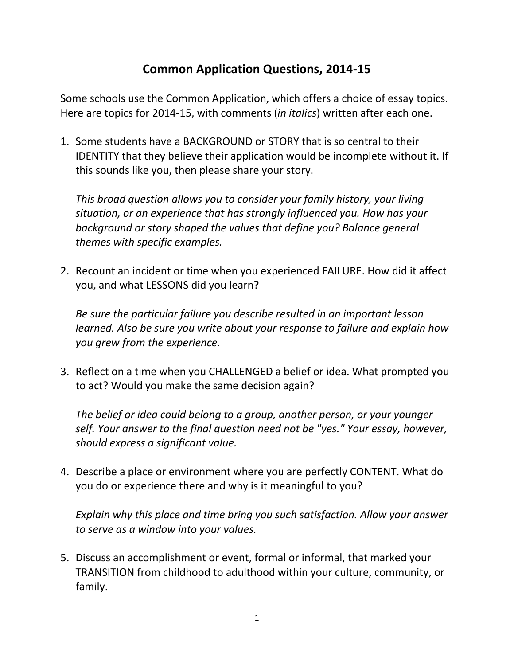## **Common Application Questions, 2014-15**

Some schools use the Common Application, which offers a choice of essay topics. Here are topics for 2014-15, with comments (*in italics*) written after each one.

1. Some students have a BACKGROUND or STORY that is so central to their IDENTITY that they believe their application would be incomplete without it. If this sounds like you, then please share your story.

*This broad question allows you to consider your family history, your living situation, or an experience that has strongly influenced you. How has your background or story shaped the values that define you? Balance general themes with specific examples.*

2. Recount an incident or time when you experienced FAILURE. How did it affect you, and what LESSONS did you learn?

*Be sure the particular failure you describe resulted in an important lesson learned. Also be sure you write about your response to failure and explain how you grew from the experience.*

3. Reflect on a time when you CHALLENGED a belief or idea. What prompted you to act? Would you make the same decision again?

*The belief or idea could belong to a group, another person, or your younger self. Your answer to the final question need not be "yes." Your essay, however, should express a significant value.*

4. Describe a place or environment where you are perfectly CONTENT. What do you do or experience there and why is it meaningful to you?

*Explain why this place and time bring you such satisfaction. Allow your answer to serve as a window into your values.*

5. Discuss an accomplishment or event, formal or informal, that marked your TRANSITION from childhood to adulthood within your culture, community, or family.